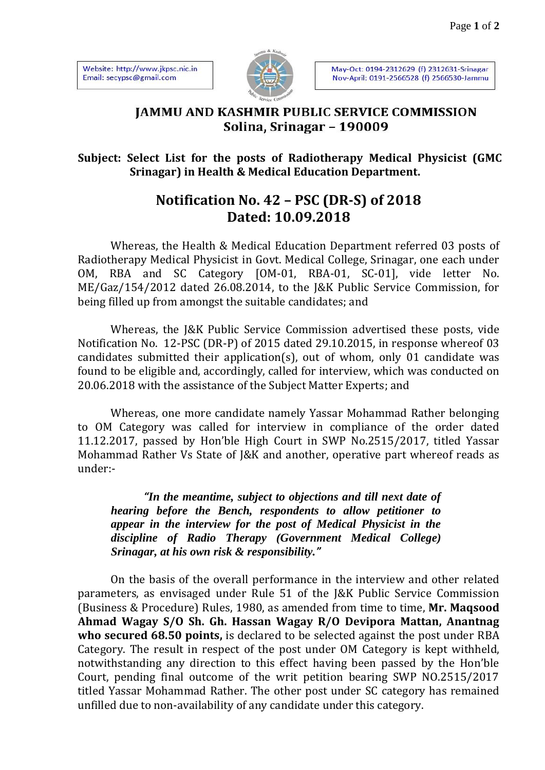Website: http://www.jkpsc.nic.in Email: secypsc@gmail.com



May-Oct: 0194-2312629 (f) 2312631-Srinagar Nov-April: 0191-2566528 (f) 2566530-Jammu

## **JAMMU AND KASHMIR PUBLIC SERVICE COMMISSION** Solina, Srinagar - 190009

## **Subject: Select List for the posts of Radiotherapy Medical Physicist (GMC Srinagar) in Health & Medical Education Department.**

## **Notification No. 42 – PSC (DR-S) of 2018 Dated: 10.09.2018**

Whereas, the Health & Medical Education Department referred 03 posts of Radiotherapy Medical Physicist in Govt. Medical College, Srinagar, one each under OM, RBA and SC Category [OM-01, RBA-01, SC-01], vide letter No. ME/Gaz/154/2012 dated 26.08.2014, to the J&K Public Service Commission, for being filled up from amongst the suitable candidates; and

Whereas, the J&K Public Service Commission advertised these posts, vide Notification No. 12-PSC (DR-P) of 2015 dated 29.10.2015, in response whereof 03 candidates submitted their application(s), out of whom, only 01 candidate was found to be eligible and, accordingly, called for interview, which was conducted on 20.06.2018 with the assistance of the Subject Matter Experts; and

Whereas, one more candidate namely Yassar Mohammad Rather belonging to OM Category was called for interview in compliance of the order dated 11.12.2017, passed by Hon'ble High Court in SWP No.2515/2017, titled Yassar Mohammad Rather Vs State of J&K and another, operative part whereof reads as under:-

*"In the meantime, subject to objections and till next date of hearing before the Bench, respondents to allow petitioner to appear in the interview for the post of Medical Physicist in the discipline of Radio Therapy (Government Medical College) Srinagar, at his own risk & responsibility."*

On the basis of the overall performance in the interview and other related parameters, as envisaged under Rule 51 of the J&K Public Service Commission (Business & Procedure) Rules, 1980, as amended from time to time, **Mr. Maqsood Ahmad Wagay S/O Sh. Gh. Hassan Wagay R/O Devipora Mattan, Anantnag who secured 68.50 points,** is declared to be selected against the post under RBA Category. The result in respect of the post under OM Category is kept withheld, notwithstanding any direction to this effect having been passed by the Hon'ble Court, pending final outcome of the writ petition bearing SWP NO.2515/2017 titled Yassar Mohammad Rather. The other post under SC category has remained unfilled due to non-availability of any candidate under this category.